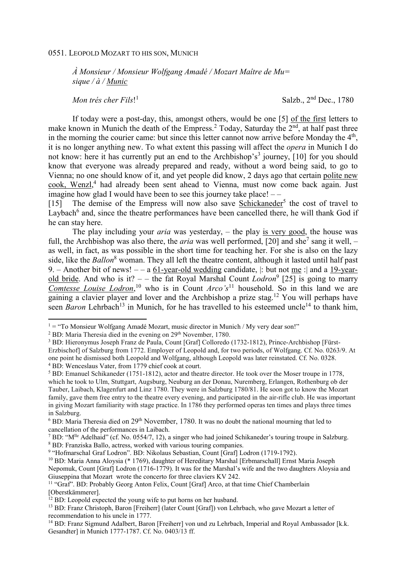## 0551. LEOPOLD MOZART TO HIS SON, MUNICH

*À Monsieur / Monsieur Wolfgang Amadé / Mozart Maître de Mu= sique / à / Munic* 

*Mon trés cher Fils*! 1

Salzb., 2nd Dec., 1780

If today were a post-day, this, amongst others, would be one [5] of the first letters to make known in Munich the death of the Empress.<sup>2</sup> Today, Saturday the 2<sup>nd</sup>, at half past three in the morning the courier came: but since this letter cannot now arrive before Monday the  $4<sup>th</sup>$ , it is no longer anything new. To what extent this passing will affect the *opera* in Munich I do not know: here it has currently put an end to the Archbishop's<sup>3</sup> journey, [10] for you should know that everyone was already prepared and ready, without a word being said, to go to Vienna; no one should know of it, and yet people did know, 2 days ago that certain polite new cook, Wenzl,<sup>4</sup> had already been sent ahead to Vienna, must now come back again. Just imagine how glad I would have been to see this journey take place! – –

[15] The demise of the Empress will now also save **Schickaneder**<sup>5</sup> the cost of travel to Laybach<sup>6</sup> and, since the theatre performances have been cancelled there, he will thank God if he can stay here.

The play including your *aria* was yesterday, – the play is very good, the house was full, the Archbishop was also there, the *aria* was well performed, [20] and she<sup>7</sup> sang it well,  $$ as well, in fact, as was possible in the short time for teaching her. For she is also on the lazy side, like the *Ballon*<sup>8</sup> woman. They all left the theatre content, although it lasted until half past 9. – Another bit of news!  $-$  – a 61-year-old wedding candidate,  $|$ : but not me : and a 19-yearold bride. And who is it? - - the fat Royal Marshal Count *Lodron*<sup>9</sup> [25] is going to marry *Comtesse Louise Lodron*, <sup>10</sup> who is in Count *Arco's*<sup>11</sup> household. So in this land we are gaining a clavier player and lover and the Archbishop a prize stag.<sup>12</sup> You will perhaps have seen *Baron* Lehrbach<sup>13</sup> in Munich, for he has travelled to his esteemed uncle<sup>14</sup> to thank him,

l

 $1 = "To Monsieur Wolfgang Amadé Mozart, music director in Munich / My very dear son!"$ 

<sup>&</sup>lt;sup>2</sup> BD: Maria Theresia died in the evening on 29<sup>th</sup> November, 1780.

<sup>&</sup>lt;sup>3</sup> BD: Hieronymus Joseph Franz de Paula, Count [Graf] Colloredo (1732-1812), Prince-Archbishop [Fürst-Erzbischof] of Salzburg from 1772. Employer of Leopold and, for two periods, of Wolfgang. Cf. No. 0263/9. At one point he dismissed both Leopold and Wolfgang, although Leopold was later reinstated. Cf. No. 0328. 4 BD: Wenceslaus Vater, from 1779 chief cook at court.

<sup>&</sup>lt;sup>5</sup> BD: Emanuel Schikaneder (1751-1812), actor and theatre director. He took over the Moser troupe in 1778, which he took to Ulm, Stuttgart, Augsburg, Neuburg an der Donau, Nuremberg, Erlangen, Rothenburg ob der Tauber, Laibach, Klagenfurt and Linz 1780. They were in Salzburg 1780/81. He soon got to know the Mozart family, gave them free entry to the theatre every evening, and participated in the air-rifle club. He was important in giving Mozart familiarity with stage practice. In 1786 they performed operas ten times and plays three times in Salzburg.

 $6$  BD: Maria Theresia died on  $29<sup>th</sup>$  November, 1780. It was no doubt the national mourning that led to cancellation of the performances in Laibach.

<sup>&</sup>lt;sup>7</sup> BD: "M<sup>lle</sup> Adelhaid" (cf. No. 0554/7, 12), a singer who had joined Schikaneder's touring troupe in Salzburg. 8 BD: Franziska Ballo, actress, worked with various touring companies.

<sup>&</sup>lt;sup>9</sup> "Hofmarschal Graf Lodron". BD: Nikolaus Sebastian, Count [Graf] Lodron (1719-1792).

<sup>10</sup> BD: Maria Anna Aloysia (\* 1769), daughter of Hereditary Marshal [Erbmarschall] Ernst Maria Joseph Nepomuk, Count [Graf] Lodron (1716-1779). It was for the Marshal's wife and the two daughters Aloysia and Giuseppina that Mozart wrote the concerto for three claviers KV 242.

<sup>&</sup>lt;sup>11</sup> "Graf". BD: Probably Georg Anton Felix, Count [Graf] Arco, at that time Chief Chamberlain [Oberstkämmerer].

 $12$  BD: Leopold expected the young wife to put horns on her husband.

<sup>13</sup> BD: Franz Christoph, Baron [Freiherr] (later Count [Graf]) von Lehrbach, who gave Mozart a letter of recommendation to his uncle in 1777.

<sup>&</sup>lt;sup>14</sup> BD: Franz Sigmund Adalbert, Baron [Freiherr] von und zu Lehrbach, Imperial and Royal Ambassador [k.k. Gesandter] in Munich 1777-1787. Cf. No. 0403/13 ff.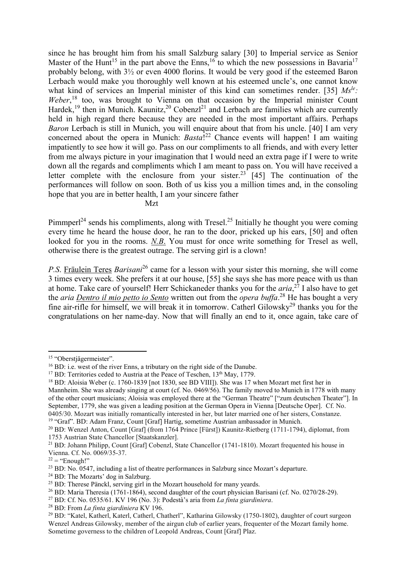since he has brought him from his small Salzburg salary [30] to Imperial service as Senior Master of the Hunt<sup>15</sup> in the part above the Enns,<sup>16</sup> to which the new possessions in Bavaria<sup>17</sup> probably belong, with 3½ or even 4000 florins. It would be very good if the esteemed Baron Lerbach would make you thoroughly well known at his esteemed uncle's, one cannot know what kind of services an Imperial minister of this kind can sometimes render. [35] *Msle:*  Weber,<sup>18</sup> too, was brought to Vienna on that occasion by the Imperial minister Count Hardek,<sup>19</sup> then in Munich. Kaunitz,<sup>20</sup> Cobenzl<sup>21</sup> and Lerbach are families which are currently held in high regard there because they are needed in the most important affairs. Perhaps *Baron* Lerbach is still in Munich, you will enquire about that from his uncle. [40] I am very concerned about the opera in Munich: *Basta*! <sup>22</sup> Chance events will happen! I am waiting impatiently to see how it will go. Pass on our compliments to all friends, and with every letter from me always picture in your imagination that I would need an extra page if I were to write down all the regards and compliments which I am meant to pass on. You will have received a letter complete with the enclosure from your sister.<sup>23</sup> [45] The continuation of the performances will follow on soon. Both of us kiss you a million times and, in the consoling hope that you are in better health, I am your sincere father

Mzt

Pimmperl<sup>24</sup> sends his compliments, along with Tresel.<sup>25</sup> Initially he thought you were coming every time he heard the house door, he ran to the door, pricked up his ears, [50] and often looked for you in the rooms. *N.B*. You must for once write something for Tresel as well, otherwise there is the greatest outrage. The serving girl is a clown!

*P.S*. Fräulein Teres *Barisani*<sup>26</sup> came for a lesson with your sister this morning, she will come 3 times every week. She prefers it at our house, [55] she says she has more peace with us than at home. Take care of yourself! Herr Schickaneder thanks you for the *aria*, <sup>27</sup> I also have to get the *aria Dentro il mio petto io Sento* written out from the *opera buffa*. <sup>28</sup> He has bought a very fine air-rifle for himself, we will break it in tomorrow. Catherl Gilowsky<sup>29</sup> thanks you for the congratulations on her name-day. Now that will finally an end to it, once again, take care of

 $\overline{a}$ 

<sup>28</sup> BD: From *La finta giardiniera* KV 196.

<sup>15</sup> "Oberstjägermeister".

<sup>&</sup>lt;sup>16</sup> BD: i.e. west of the river Enns, a tributary on the right side of the Danube.

 $17$  BD: Territories ceded to Austria at the Peace of Teschen,  $13<sup>th</sup>$  May, 1779.

<sup>&</sup>lt;sup>18</sup> BD: Aloisia Weber (c. 1760-1839 [not 1830, see BD VIII]). She was 17 when Mozart met first her in Mannheim. She was already singing at court (cf. No. 0469/56). The family moved to Munich in 1778 with many of the other court musicians; Aloisia was employed there at the "German Theatre" ["zum deutschen Theater"]. In September, 1779, she was given a leading position at the German Opera in Vienna [Deutsche Oper]. Cf. No. 0405/30. Mozart was initially romantically interested in her, but later married one of her sisters, Constanze. <sup>19</sup> "Graf". BD: Adam Franz, Count [Graf] Hartig, sometime Austrian ambassador in Munich.

<sup>20</sup> BD: Wenzel Anton, Count [Graf] (from 1764 Prince [Fürst]) Kaunitz-Rietberg (1711-1794), diplomat, from 1753 Austrian State Chancellor [Staatskanzler].

<sup>&</sup>lt;sup>21</sup> BD: Johann Philipp, Count [Graf] Cobenzl, State Chancellor (1741-1810). Mozart frequented his house in Vienna. Cf. No. 0069/35-37.

 $22 =$  "Enough!"

 $23$  BD: No. 0547, including a list of theatre performances in Salzburg since Mozart's departure.

<sup>&</sup>lt;sup>24</sup> BD: The Mozarts' dog in Salzburg.

<sup>&</sup>lt;sup>25</sup> BD: Therese Pänckl, serving girl in the Mozart household for many veards.

<sup>&</sup>lt;sup>26</sup> BD: Maria Theresia (1761-1864), second daughter of the court physician Barisani (cf. No. 0270/28-29).

<sup>27</sup> BD: Cf. No. 0535/61. KV 196 (No. 3): Podestà's aria from *La finta giardiniera*.

<sup>29</sup> BD: "Katel, Katherl, Katerl, Catherl, Chatherl", Katharina Gilowsky (1750-1802), daughter of court surgeon Wenzel Andreas Gilowsky, member of the airgun club of earlier years, frequenter of the Mozart family home. Sometime governess to the children of Leopold Andreas, Count [Graf] Plaz.